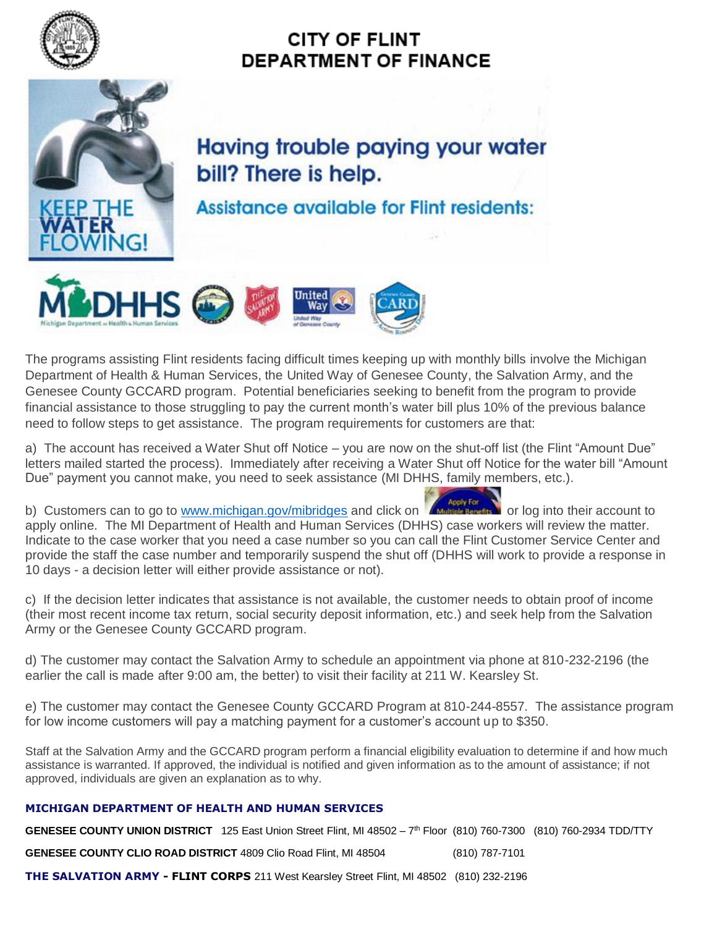

## **CITY OF FLINT DEPARTMENT OF FINANCE**



## **Having trouble paying your water** bill? There is help.

**Assistance available for Flint residents:** 



The programs assisting Flint residents facing difficult times keeping up with monthly bills involve the Michigan Department of Health & Human Services, the United Way of Genesee County, the Salvation Army, and the Genesee County GCCARD program. Potential beneficiaries seeking to benefit from the program to provide financial assistance to those struggling to pay the current month's water bill plus 10% of the previous balance need to follow steps to get assistance. The program requirements for customers are that:

a) The account has received a Water Shut off Notice – you are now on the shut-off list (the Flint "Amount Due" letters mailed started the process). Immediately after receiving a Water Shut off Notice for the water bill "Amount Due" payment you cannot make, you need to seek assistance (MI DHHS, family members, etc.).

b) Customers can to go to [www.michigan.gov/mibridges](http://www.michigan.gov/mibridges) and click on **Construction** or log into their account to apply online. The MI Department of their into the community of the state of the construction of the construction apply online. The MI Department of Health and Human Services (DHHS) case workers will review the matter. Indicate to the case worker that you need a case number so you can call the Flint Customer Service Center and provide the staff the case number and temporarily suspend the shut off (DHHS will work to provide a response in 10 days - a decision letter will either provide assistance or not).

c) If the decision letter indicates that assistance is not available, the customer needs to obtain proof of income (their most recent income tax return, social security deposit information, etc.) and seek help from the Salvation Army or the Genesee County GCCARD program.

d) The customer may contact the Salvation Army to schedule an appointment via phone at 810-232-2196 (the earlier the call is made after 9:00 am, the better) to visit their facility at 211 W. Kearsley St.

e) The customer may contact the Genesee County GCCARD Program at 810-244-8557. The assistance program for low income customers will pay a matching payment for a customer's account up to \$350.

Staff at the Salvation Army and the GCCARD program perform a financial eligibility evaluation to determine if and how much assistance is warranted. If approved, the individual is notified and given information as to the amount of assistance; if not approved, individuals are given an explanation as to why.

## **MICHIGAN DEPARTMENT OF HEALTH AND HUMAN SERVICES**

GENESEE COUNTY UNION DISTRICT 125 East Union Street Flint, MI 48502 - 7<sup>th</sup> Floor (810) 760-7300 (810) 760-2934 TDD/TTY

**GENESEE COUNTY CLIO ROAD DISTRICT** 4809 Clio Road Flint, MI 48504 (810) 787-7101

**THE SALVATION ARMY - FLINT CORPS** 211 West Kearsley Street Flint, MI 48502 (810) 232-2196